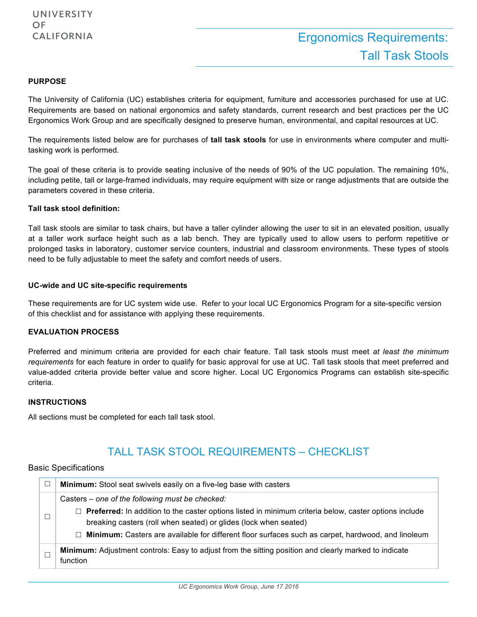#### **PURPOSE**

The University of California (UC) establishes criteria for equipment, furniture and accessories purchased for use at UC. Requirements are based on national ergonomics and safety standards, current research and best practices per the UC Ergonomics Work Group and are specifically designed to preserve human, environmental, and capital resources at UC.

The requirements listed below are for purchases of **tall task stools** for use in environments where computer and multitasking work is performed.

The goal of these criteria is to provide seating inclusive of the needs of 90% of the UC population. The remaining 10%, including petite, tall or large-framed individuals, may require equipment with size or range adjustments that are outside the parameters covered in these criteria.

#### **Tall task stool definition:**

Tall task stools are similar to task chairs, but have a taller cylinder allowing the user to sit in an elevated position, usually at a taller work surface height such as a lab bench. They are typically used to allow users to perform repetitive or prolonged tasks in laboratory, customer service counters, industrial and classroom environments. These types of stools need to be fully adjustable to meet the safety and comfort needs of users.

#### **UC-wide and UC site-specific requirements**

These requirements are for UC system wide use.Refer to your local UC Ergonomics Program for a site-specific version of this checklist and for assistance with applying these requirements.

#### **EVALUATION PROCESS**

Preferred and minimum criteria are provided for each chair feature. Tall task stools must meet *at least the minimum requirements* for each feature in order to qualify for basic approval for use at UC. Tall task stools that meet preferred and value-added criteria provide better value and score higher. Local UC Ergonomics Programs can establish site-specific criteria.

#### **INSTRUCTIONS**

All sections must be completed for each tall task stool.

## TALL TASK STOOL REQUIREMENTS – CHECKLIST

#### Basic Specifications

| Minimum: Stool seat swivels easily on a five-leg base with casters                                                                                                               |
|----------------------------------------------------------------------------------------------------------------------------------------------------------------------------------|
| Casters – one of the following must be checked:                                                                                                                                  |
| $\Box$ Preferred: In addition to the caster options listed in minimum criteria below, caster options include<br>breaking casters (roll when seated) or glides (lock when seated) |
| □ Minimum: Casters are available for different floor surfaces such as carpet, hardwood, and linoleum                                                                             |
| <b>Minimum:</b> Adjustment controls: Easy to adjust from the sitting position and clearly marked to indicate<br>function                                                         |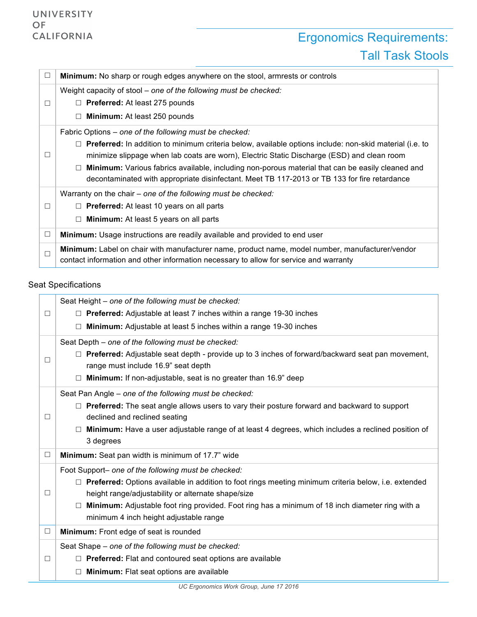# Ergonomics Requirements: Tall Task Stools

| $\Box$ | Minimum: No sharp or rough edges anywhere on the stool, armrests or controls                                                                                                             |
|--------|------------------------------------------------------------------------------------------------------------------------------------------------------------------------------------------|
|        | Weight capacity of stool – one of the following must be checked:                                                                                                                         |
|        | $\Box$ Preferred: At least 275 pounds                                                                                                                                                    |
|        | $\Box$ Minimum: At least 250 pounds                                                                                                                                                      |
|        | Fabric Options – one of the following must be checked:                                                                                                                                   |
|        | $\Box$ Preferred: In addition to minimum criteria below, available options include: non-skid material (i.e. to                                                                           |
|        | minimize slippage when lab coats are worn), Electric Static Discharge (ESD) and clean room                                                                                               |
|        | <b>Minimum:</b> Various fabrics available, including non-porous material that can be easily cleaned and<br>$\Box$                                                                        |
|        | decontaminated with appropriate disinfectant. Meet TB 117-2013 or TB 133 for fire retardance                                                                                             |
|        | Warranty on the chair – one of the following must be checked:                                                                                                                            |
| П      | $\Box$ Preferred: At least 10 years on all parts                                                                                                                                         |
|        | $\Box$ Minimum: At least 5 years on all parts                                                                                                                                            |
| $\Box$ | <b>Minimum:</b> Usage instructions are readily available and provided to end user                                                                                                        |
|        | Minimum: Label on chair with manufacturer name, product name, model number, manufacturer/vendor<br>contact information and other information necessary to allow for service and warranty |

## Seat Specifications

|        | Seat Height - one of the following must be checked:                                                       |
|--------|-----------------------------------------------------------------------------------------------------------|
| $\Box$ | $\Box$ Preferred: Adjustable at least 7 inches within a range 19-30 inches                                |
|        | Minimum: Adjustable at least 5 inches within a range 19-30 inches                                         |
|        | Seat Depth - one of the following must be checked:                                                        |
| $\Box$ | □ Preferred: Adjustable seat depth - provide up to 3 inches of forward/backward seat pan movement,        |
|        | range must include 16.9" seat depth                                                                       |
|        | <b>Minimum:</b> If non-adjustable, seat is no greater than 16.9" deep                                     |
|        | Seat Pan Angle - one of the following must be checked:                                                    |
|        | $\Box$ Preferred: The seat angle allows users to vary their posture forward and backward to support       |
| $\Box$ | declined and reclined seating                                                                             |
|        | $\Box$ Minimum: Have a user adjustable range of at least 4 degrees, which includes a reclined position of |
|        | 3 degrees                                                                                                 |
| $\Box$ | Minimum: Seat pan width is minimum of 17.7" wide                                                          |
|        | Foot Support- one of the following must be checked:                                                       |
|        | Preferred: Options available in addition to foot rings meeting minimum criteria below, i.e. extended      |
| $\Box$ | height range/adjustability or alternate shape/size                                                        |
|        | Minimum: Adjustable foot ring provided. Foot ring has a minimum of 18 inch diameter ring with a           |
|        | minimum 4 inch height adjustable range                                                                    |
| $\Box$ | Minimum: Front edge of seat is rounded                                                                    |
|        | Seat Shape - one of the following must be checked:                                                        |
| $\Box$ | $\Box$ Preferred: Flat and contoured seat options are available                                           |
|        | Minimum: Flat seat options are available                                                                  |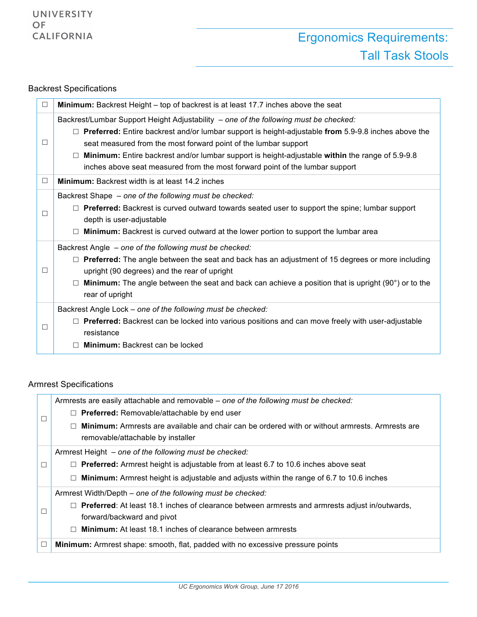### Backrest Specifications

| □      | Minimum: Backrest Height – top of backrest is at least 17.7 inches above the seat                                                                                                                                                                                                                                                                                                                                                                                  |
|--------|--------------------------------------------------------------------------------------------------------------------------------------------------------------------------------------------------------------------------------------------------------------------------------------------------------------------------------------------------------------------------------------------------------------------------------------------------------------------|
| $\Box$ | Backrest/Lumbar Support Height Adjustability - one of the following must be checked:<br>$\Box$ Preferred: Entire backrest and/or lumbar support is height-adjustable from 5.9-9.8 inches above the<br>seat measured from the most forward point of the lumbar support<br>Minimum: Entire backrest and/or lumbar support is height-adjustable within the range of 5.9-9.8<br>$\Box$<br>inches above seat measured from the most forward point of the lumbar support |
| $\Box$ | <b>Minimum:</b> Backrest width is at least 14.2 inches                                                                                                                                                                                                                                                                                                                                                                                                             |
| $\Box$ | Backrest Shape - one of the following must be checked:<br>$\Box$ Preferred: Backrest is curved outward towards seated user to support the spine; lumbar support<br>depth is user-adjustable<br><b>Minimum:</b> Backrest is curved outward at the lower portion to support the lumbar area                                                                                                                                                                          |
| □      | Backrest Angle - one of the following must be checked:<br>$\Box$ Preferred: The angle between the seat and back has an adjustment of 15 degrees or more including<br>upright (90 degrees) and the rear of upright<br><b>Minimum:</b> The angle between the seat and back can achieve a position that is upright (90°) or to the<br>rear of upright                                                                                                                 |
| $\Box$ | Backrest Angle Lock - one of the following must be checked:<br><b>Preferred:</b> Backrest can be locked into various positions and can move freely with user-adjustable<br>resistance<br><b>Minimum:</b> Backrest can be locked                                                                                                                                                                                                                                    |

### Armrest Specifications

|   | Armrests are easily attachable and removable – one of the following must be checked:                             |
|---|------------------------------------------------------------------------------------------------------------------|
|   | $\Box$ Preferred: Removable/attachable by end user                                                               |
|   | <b>Minimum:</b> Armrests are available and chair can be ordered with or without armrests. Armrests are<br>$\Box$ |
|   | removable/attachable by installer                                                                                |
| П | Armrest Height – one of the following must be checked:                                                           |
|   | $\Box$ Preferred: Armrest height is adjustable from at least 6.7 to 10.6 inches above seat                       |
|   | $\Box$ Minimum: Armrest height is adjustable and adjusts within the range of 6.7 to 10.6 inches                  |
|   | Armrest Width/Depth – one of the following must be checked:                                                      |
|   | $\Box$ Preferred: At least 18.1 inches of clearance between armrests and armrests adjust in/outwards,            |
|   | forward/backward and pivot                                                                                       |
|   | $\Box$ Minimum: At least 18.1 inches of clearance between armrests                                               |
| □ | <b>Minimum:</b> Armrest shape: smooth, flat, padded with no excessive pressure points                            |